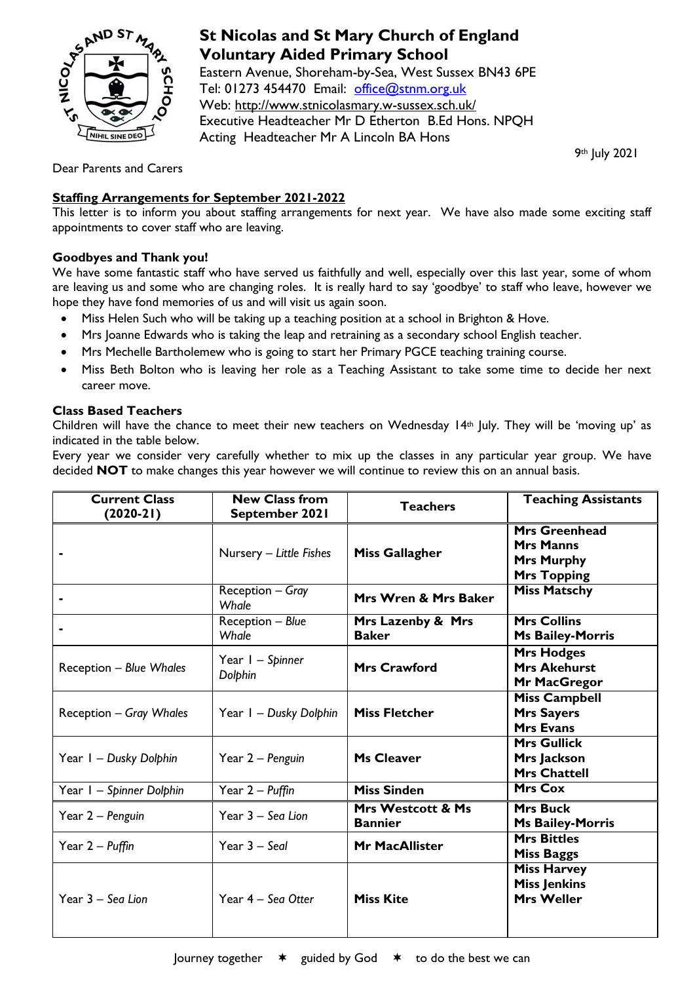

# **St Nicolas and St Mary Church of England Voluntary Aided Primary School**

Eastern Avenue, Shoreham-by-Sea, West Sussex BN43 6PE Tel: 01273 454470 Email: [office@stnm.org.uk](mailto:office@stnm.org.uk) Web:<http://www.stnicolasmary.w-sussex.sch.uk/> Executive Headteacher Mr D Etherton B.Ed Hons. NPQH Acting Headteacher Mr A Lincoln BA Hons

9th July 2021

Dear Parents and Carers

## **Staffing Arrangements for September 2021-2022**

This letter is to inform you about staffing arrangements for next year. We have also made some exciting staff appointments to cover staff who are leaving.

## **Goodbyes and Thank you!**

We have some fantastic staff who have served us faithfully and well, especially over this last year, some of whom are leaving us and some who are changing roles. It is really hard to say 'goodbye' to staff who leave, however we hope they have fond memories of us and will visit us again soon.

- Miss Helen Such who will be taking up a teaching position at a school in Brighton & Hove.
- Mrs Joanne Edwards who is taking the leap and retraining as a secondary school English teacher.
- Mrs Mechelle Bartholemew who is going to start her Primary PGCE teaching training course.
- Miss Beth Bolton who is leaving her role as a Teaching Assistant to take some time to decide her next career move.

### **Class Based Teachers**

Children will have the chance to meet their new teachers on Wednesday 14th July. They will be 'moving up' as indicated in the table below.

Every year we consider very carefully whether to mix up the classes in any particular year group. We have decided **NOT** to make changes this year however we will continue to review this on an annual basis.

| <b>Current Class</b><br>$(2020-21)$ | <b>New Class from</b><br>September 2021 | <b>Teachers</b>                     | <b>Teaching Assistants</b>                                                          |
|-------------------------------------|-----------------------------------------|-------------------------------------|-------------------------------------------------------------------------------------|
|                                     | Nursery - Little Fishes                 | <b>Miss Gallagher</b>               | <b>Mrs Greenhead</b><br><b>Mrs Manns</b><br><b>Mrs Murphy</b><br><b>Mrs Topping</b> |
|                                     | Reception - Gray<br>Whale               | Mrs Wren & Mrs Baker                | <b>Miss Matschy</b>                                                                 |
|                                     | Reception - Blue<br>Whale               | Mrs Lazenby & Mrs<br><b>Baker</b>   | <b>Mrs Collins</b><br><b>Ms Bailey-Morris</b>                                       |
| <b>Reception - Blue Whales</b>      | Year I - Spinner<br>Dolphin             | <b>Mrs Crawford</b>                 | <b>Mrs Hodges</b><br><b>Mrs Akehurst</b><br>Mr MacGregor                            |
| <b>Reception - Gray Whales</b>      | Year I - Dusky Dolphin                  | <b>Miss Fletcher</b>                | <b>Miss Campbell</b><br><b>Mrs Sayers</b><br><b>Mrs Evans</b>                       |
| Year I – Dusky Dolphin              | Year 2 – Penguin                        | <b>Ms Cleaver</b>                   | <b>Mrs Gullick</b><br>Mrs Jackson<br><b>Mrs Chattell</b>                            |
| Year I - Spinner Dolphin            | Year 2 - Puffin                         | <b>Miss Sinden</b>                  | <b>Mrs Cox</b>                                                                      |
| Year 2 – Penguin                    | Year 3 - Sea Lion                       | Mrs Westcott & Ms<br><b>Bannier</b> | <b>Mrs Buck</b><br><b>Ms Bailey-Morris</b>                                          |
| Year 2 – Puffin                     | Year $3 -$ Seal                         | <b>Mr MacAllister</b>               | <b>Mrs Bittles</b><br><b>Miss Baggs</b>                                             |
| Year 3 - Sea Lion                   | Year 4 - Sea Otter                      | <b>Miss Kite</b>                    | <b>Miss Harvey</b><br><b>Miss Jenkins</b><br><b>Mrs Weller</b>                      |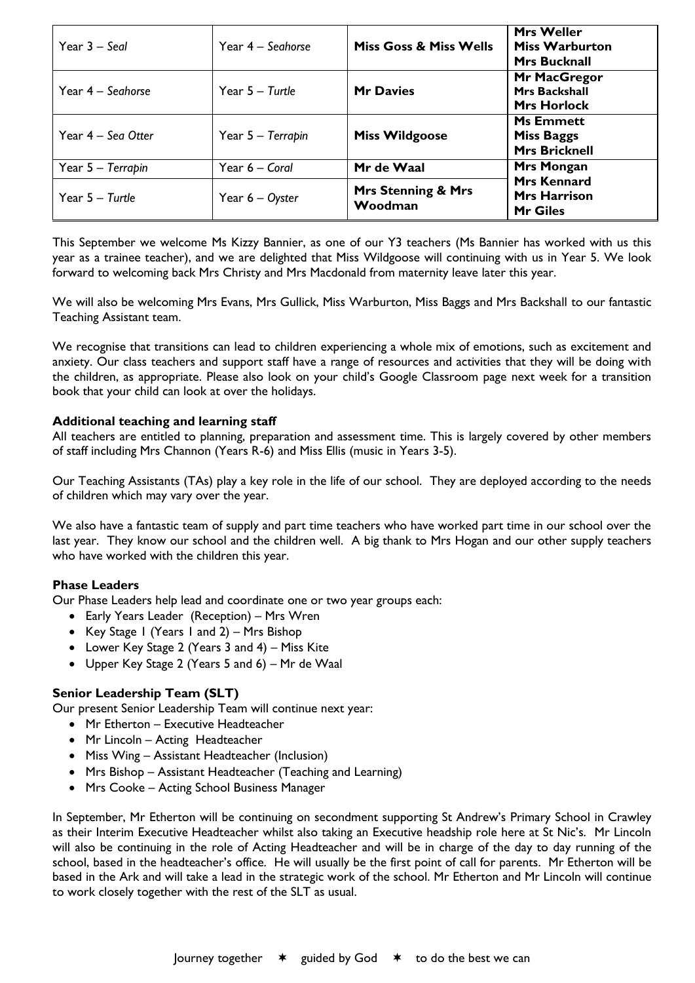| Year $3 -$ Seal      | Year 4 – Seghorse  | <b>Miss Goss &amp; Miss Wells</b>        | <b>Mrs Weller</b><br><b>Miss Warburton</b><br><b>Mrs Bucknall</b> |
|----------------------|--------------------|------------------------------------------|-------------------------------------------------------------------|
| Year 4 - Seahorse    | Year $5 -$ Turtle  | <b>Mr Davies</b>                         | <b>Mr MacGregor</b><br><b>Mrs Backshall</b><br><b>Mrs Horlock</b> |
| Year $4 -$ Sea Otter | Year 5 – Terrapin  | <b>Miss Wildgoose</b>                    | <b>Ms Emmett</b><br><b>Miss Baggs</b><br><b>Mrs Bricknell</b>     |
| Year 5 - Terrapin    | Year 6 – Coral     | Mr de Waal                               | <b>Mrs Mongan</b>                                                 |
| Year $5 -$ Turtle    | Year $6 - O$ yster | <b>Mrs Stenning &amp; Mrs</b><br>Woodman | <b>Mrs Kennard</b><br><b>Mrs Harrison</b><br><b>Mr Giles</b>      |

This September we welcome Ms Kizzy Bannier, as one of our Y3 teachers (Ms Bannier has worked with us this year as a trainee teacher), and we are delighted that Miss Wildgoose will continuing with us in Year 5. We look forward to welcoming back Mrs Christy and Mrs Macdonald from maternity leave later this year.

We will also be welcoming Mrs Evans, Mrs Gullick, Miss Warburton, Miss Baggs and Mrs Backshall to our fantastic Teaching Assistant team.

We recognise that transitions can lead to children experiencing a whole mix of emotions, such as excitement and anxiety. Our class teachers and support staff have a range of resources and activities that they will be doing with the children, as appropriate. Please also look on your child's Google Classroom page next week for a transition book that your child can look at over the holidays.

#### **Additional teaching and learning staff**

All teachers are entitled to planning, preparation and assessment time. This is largely covered by other members of staff including Mrs Channon (Years R-6) and Miss Ellis (music in Years 3-5).

Our Teaching Assistants (TAs) play a key role in the life of our school. They are deployed according to the needs of children which may vary over the year.

We also have a fantastic team of supply and part time teachers who have worked part time in our school over the last year. They know our school and the children well. A big thank to Mrs Hogan and our other supply teachers who have worked with the children this year.

### **Phase Leaders**

Our Phase Leaders help lead and coordinate one or two year groups each:

- Early Years Leader (Reception) Mrs Wren
- Key Stage 1 (Years 1 and 2) Mrs Bishop
- Lower Key Stage 2 (Years 3 and 4) Miss Kite
- Upper Key Stage 2 (Years 5 and 6) Mr de Waal

### **Senior Leadership Team (SLT)**

Our present Senior Leadership Team will continue next year:

- Mr Etherton Executive Headteacher
- Mr Lincoln Acting Headteacher
- Miss Wing Assistant Headteacher (Inclusion)
- Mrs Bishop Assistant Headteacher (Teaching and Learning)
- Mrs Cooke Acting School Business Manager

In September, Mr Etherton will be continuing on secondment supporting St Andrew's Primary School in Crawley as their Interim Executive Headteacher whilst also taking an Executive headship role here at St Nic's. Mr Lincoln will also be continuing in the role of Acting Headteacher and will be in charge of the day to day running of the school, based in the headteacher's office. He will usually be the first point of call for parents. Mr Etherton will be based in the Ark and will take a lead in the strategic work of the school. Mr Etherton and Mr Lincoln will continue to work closely together with the rest of the SLT as usual.